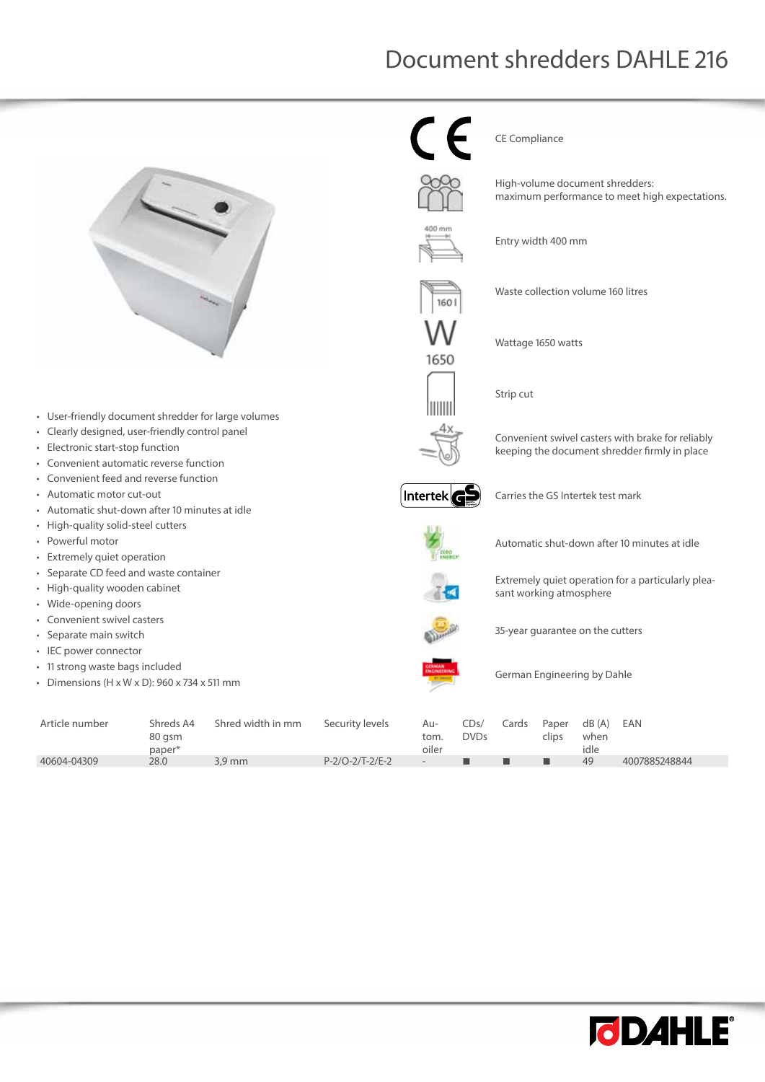## Document shredders DAHLE 216



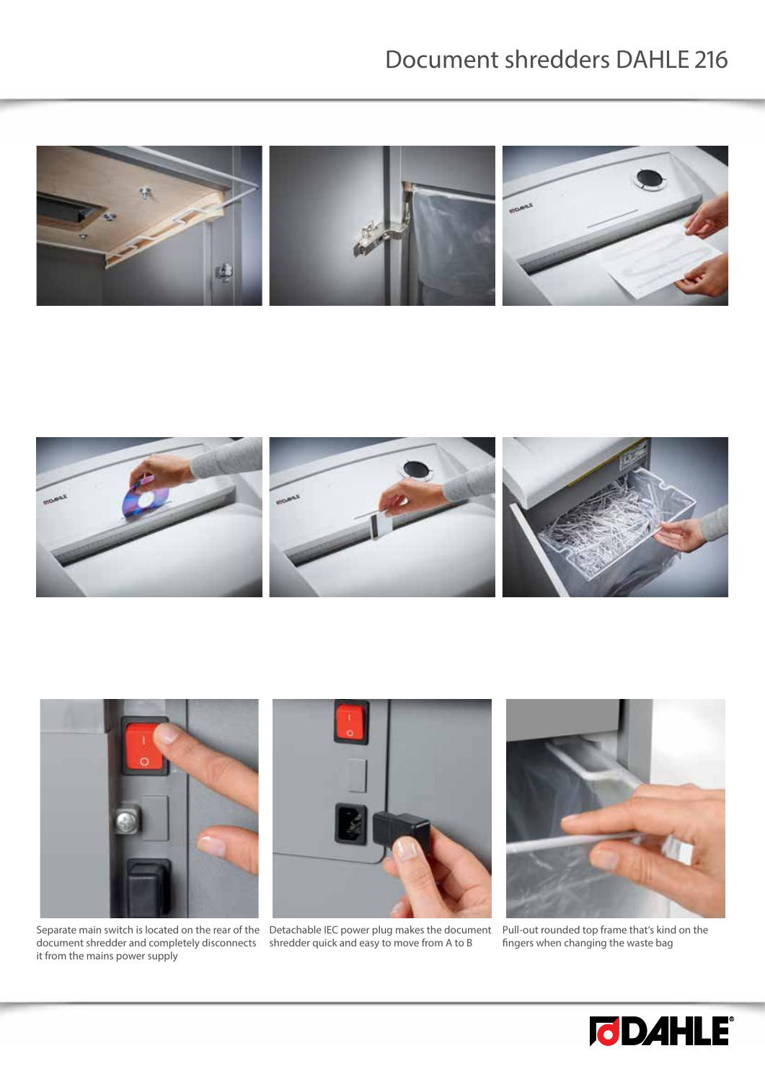## Document shredders DAHLE 216







Separate main switch is located on the rear of the Detachable IEC power plug makes the document document shredder and completely disconnects it from the mains power supply



shredder quick and easy to move from A to B



Pull-out rounded top frame that's kind on the fingers when changing the waste bag